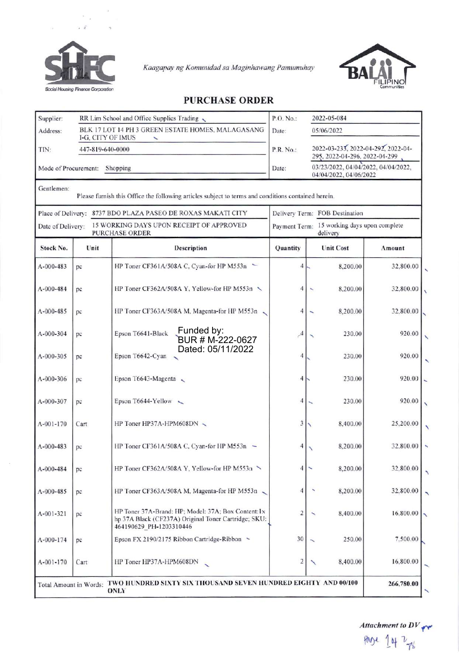

Kaagapay ng Komunidad sa Maginhawang Pamumuhay



## **PURCHASE ORDER**

| Supplier:                                                                              | RR Lim School and Office Supplies Trading                              |                                                                                                                                        | P.O. No.:     | 2022-05-084                                                         |            |  |
|----------------------------------------------------------------------------------------|------------------------------------------------------------------------|----------------------------------------------------------------------------------------------------------------------------------------|---------------|---------------------------------------------------------------------|------------|--|
| Address:                                                                               | BLK 17 LOT 14 PH 3 GREEN ESTATE HOMES, MALAGASANG<br>I-G. CITY OF IMUS |                                                                                                                                        | Date:         | 05/06/2022                                                          |            |  |
| TIN:                                                                                   | 447-819-640-0000                                                       |                                                                                                                                        | P.R. No.:     | 2022-03-233, 2022-04-292, 2022-04-<br>295, 2022-04-296, 2022-04-299 |            |  |
| Mode of Procurement:<br>Shopping                                                       |                                                                        |                                                                                                                                        | Date:         | 03/23/2022, 04/04/2022, 04/04/2022,<br>04/04/2022, 04/06/2022       |            |  |
| Gentlemen:                                                                             |                                                                        | Please furnish this Office the following articles subject to terms and conditions contained herein.                                    |               |                                                                     |            |  |
| 8737 BDO PLAZA PASEO DE ROXAS MAKATI CITY<br>Place of Delivery:                        |                                                                        |                                                                                                                                        |               | Delivery Term: FOB Destination                                      |            |  |
| 15 WORKING DAYS UPON RECEIPT OF APPROVED<br>Date of Delivery:<br><b>PURCHASE ORDER</b> |                                                                        |                                                                                                                                        |               | Payment Term: 15 working days upon complete<br>delivery             |            |  |
| Stock No.                                                                              | Unit                                                                   | Description                                                                                                                            | Quantity      | <b>Unit Cost</b>                                                    | Amount     |  |
| A-000-483                                                                              | pc                                                                     | HP Toner CF361A/508A C, Cyan-for HP M553n $\sim$                                                                                       | 4             | 8,200.00                                                            | 32,800.00  |  |
| A-000-484                                                                              | pc                                                                     | HP Toner CF362A/508A Y, Yellow-for HP M553n \                                                                                          | 4             | 8,200.00                                                            | 32,800.00  |  |
| A-000-485                                                                              | pc                                                                     | HP Toner CF363A/508A M, Magenta-for HP M553n                                                                                           | 4             | 8,200.00                                                            | 32,800.00  |  |
| A-000-304                                                                              | pc                                                                     | Funded by:<br>Epson T6641-Black<br>BUR # M-222-0627                                                                                    | $\mathcal{A}$ | 230.00                                                              | 920.00     |  |
| $A - 000 - 305$                                                                        | pc                                                                     | Dated: 05/11/2022<br>Epson T6642-Cyan                                                                                                  | 4             | 230.00                                                              | 920.00     |  |
| A-000-306                                                                              | pc                                                                     | Epson T6643-Magenta $\sim$                                                                                                             | 4             | 230.00                                                              | 920.00     |  |
| A-000-307                                                                              | pc                                                                     | Epson T6644-Yellow                                                                                                                     | 4             | 230.00                                                              | 920.00     |  |
| $A-001-170$                                                                            | Cart                                                                   | HP Toner HP37A-HPM608DN                                                                                                                | 3             | 8,400.00                                                            | 25,200.00  |  |
| A-000-483                                                                              | pc                                                                     | HP Toner CF361A/508A C, Cyan-for HP M553n $\sim$                                                                                       |               | 8,200.00                                                            | 32,800.00  |  |
| A-000-484                                                                              | pc                                                                     | HP Toner CF362A/508A Y, Yellow-for HP M553n                                                                                            | 4             | 8,200.00                                                            | 32,800.00  |  |
| A-000-485                                                                              | pc.                                                                    | HP Toner CF363A/508A M, Magenta-for HP M553n.                                                                                          | 4             | 8,200.00                                                            | 32,800.00  |  |
| A-001-321                                                                              | pc                                                                     | HP Toner 37A-Brand: HP; Model: 37A; Box Content: 1x<br>hp 37A Black (CF237A) Original Toner Cartridge; SKU:<br>464190629 PH-1203310446 | 2             | 8,400.00                                                            | 16,800.00  |  |
| A-000-174                                                                              | pc                                                                     | Epson FX 2190/2175 Ribbon Cartridge-Ribbon ~                                                                                           | 30            | 250.00                                                              | 7,500.00   |  |
| $A-001-170$                                                                            | Cart                                                                   | HP Toner HP37A-HPM608DN                                                                                                                | 2             | 8,400.00                                                            | 16,800.00  |  |
| Total Amount in Words:                                                                 |                                                                        | TWO HUNDRED SIXTY SIX THOUSAND SEVEN HUNDRED EIGHTY AND 00/100<br>ONLY                                                                 |               |                                                                     | 266,780.00 |  |

Attachment to  $DV_{\gamma\gamma}$ page 14 2 ys